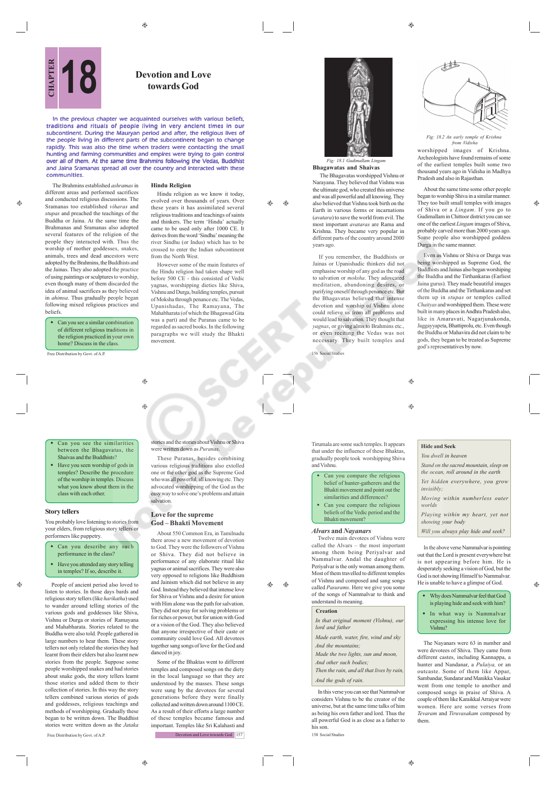$\bigoplus$ 

尴

*Fig: 18.2 An early temple of Krishna from Vidisha*

worshipped images of Krishna. Archeologists have found remains of some of the earliest temples built some two thousand years ago in Vidisha in Madhya Pradesh and also in Rajasthan.

About the same time some other people began to worship Shiva in a similar manner. They too built small temples with images of Shiva or a *Lingam*. If you go to Gudimallam in Chittoor district you can see one of the earliest *Lingam* images of Shiva, probably carved more than 2000 years ago. Some people also worshipped goddess Durga in the same manner.

æ

Even as Vishnu or Shiva or Durga was being worshipped as Supreme God, the Buddhists and Jainas also began worshiping the Buddha and the Tirthankaras (Earliest Jaina gurus). They made beautiful images of the Buddha and the Tirthankaras and set them up in *stupas* or temples called *Chaityas* and worshipped them. These were built in many places in Andhra Pradesh also, like in Amaravati, Nagarjunakonda, Jaggayyapeta, Bhattiprolu, etc. Even though the Buddha or Mahavira did not claim to be gods, they began to be treated as Supreme god's representatives by now.

156 Social Studies

and Vishnu.

years ago.

**Bhagawatas and Shaivas** The Bhagavatas worshipped Vishnu or Narayana. They believed that Vishnu was the ultimate god, who created this universe and was all powerful and all knowing. They also believed that Vishnu took birth on the Earth in various forms or incarnations (*avatara*) to save the world from evil. The most important *avataras* are Rama and Krishna. They became very popular in different parts of the country around 2000

*Fig: 18.1 Gudimallam Ling* 

If you remember, the Buddhists or Jainas or Upanishadic thinkers did not emphasise worship of any god as the road to salvation or *moksha*. They adovcated meditation, abandoning desires, or purifying oneself through penance etc. But the Bhagavatas believed that intense devotion and worship of Vishnu alone could relieve us from all problems and would lead to salvation. They thought that *yagnas*, or giving alms to Brahmins etc., or even reciting the Vedas was not necessary. They built temples and

Tirumala are some such temples. It appears that under the influence of these Bhaktas, gradually people took worshipping Shiva

 Can you compare the religious belief of hunter-gatherers and the Bhakti movement and point out the similarities and differences? Can you compare the religious beliefs of the Vedic period and the Bhakti movement? *Alvars* **and** *Nayanars*

Most of them travelled to different temples of Vishnu and composed and sang songs called *Pasurams*. Here we give you some of the songs of Nammalvar to think and

*In that original moment (Vishnu), our*

*Made earth, water, fire, wind and sky*

*Made the two lights, sun and moon, And other such bodies;*

*Then the rain, and all that lives by rain,*

In this verse you can see that Nammalvar considers Vishnu to be the creator of the universe, but at the same time talks of him as being his own father and lord. Thus the all powerful God is as close as a father to

understand its meaning.  **Creation**

*lord and father*

*And the mountains;*

*And the gods of rain.*

his son.

158 Social Studies

 $\bigcirc$ ⊕

# **Hide and Seek**

*You dwell in heaven Stand on the sacred mountain, sleep on the ocean, roll around in the earth*

*Yet hidden everywhere, you grow invisibly;*

*Moving within numberless outer worlds*

*Playing within my heart, yet not showing your body*

*Will you always play hide and seek?*

In the above verse Nammalvar is pointing out that the Lord is present everywhere but is not appearing before him. He is desperately seeking a vision of God, but the God is not showing Himself to Nammalvar. He is unable to have a glimpse of God.

> Why does Nammalvar feel that God is playing hide and seek with him?

♠

In what way is Nammalvar

expressing his intense love for Vishnu?

The Nayanars were 63 in number and were devotees of Shiva. They came from different castes, including Kannappa, a hunter and Nandanar, a *Pulaiya,* or an outcaste. Some of them like Appar, Sambandar, Sundarar and Manikka Vasakar went from one temple to another and composed songs in praise of Shiva. A couple of them like Karaikkal Arraiyar were women. Here are some verses from *Tevaram* and *Tiruvasakam* composed by them.

# **PERIMENT Devotion and Love**<br>**CHAPTER CHAPTER CHAPTER CHAPTER CHAPTER CHAPTER CHAPTER CHAPTER CHAPTER CHAPTER CHAPTER CHAPTER CHAPTER CHAPTER CHAPTER CHAPTER CHAPTER CHAPTER CHAPTER CH towards God**

In the previous chapter we acquainted ourselves with various beliefs, traditions and rituals of people living in very ancient times in our subcontinent. During the Mauryan period and after, the religious lives of the people living in different parts of the subcontinent began to change rapidly. This was also the time when traders were contacting the small hunting and farming communities and empires were trying to gain control over all of them. At the same time Brahmins following the Vedas, Buddhist and Jaina Sramanas spread all over the country and interacted with these communities.

 $\qquad \qquad \textcircled{\scriptsize{9}}$ 

۳

#### **Hindu Religion**

Hindu religion as we know it today, evolved over thousands of years. Over these years it has assimilated several religious traditions and teachings of saints and thinkers. The term 'Hindu' actually came to be used only after 1000 CE. It derives from the word 'Sindhu' meaning the river Sindhu (or Indus) which has to be crossed to enter the Indian subcontinent from the North West.

However some of the main features of the Hindu religion had taken shape well before 500 CE - this consisted of Vedic yagnas, worshipping dieties like Shiva, Vishnu and Durga, building temples, pursuit of Moksha through penance etc. The Vedas, Upanishadas, The Ramayana, The Mahabharata (of which the Bhagawad Gita was a part) and the Puranas came to be regarded as sacred books. In the following paragraphs we will study the Bhakti movement.

 $\triangle$ 

 $\bigoplus$ 

 Can you see the similarities between the Bhagavatas, the Shaivas and the Buddhists?

Free Distribution by Govt. of A.

 Can you see a similar combination of different religious traditions in the religion practiced in your own home? Discuss in the class.

beliefs.

æ

 The Brahmins established *ashramas* in different areas and performed sacrifices and conducted religious discussions. The Sramanas too established *viharas* and *stupas* and preached the teachings of the Buddha or Jaina. At the same time the Brahmanas and Sramanas also adopted several features of the religion of the people they interacted with. Thus the worship of mother goddesses, snakes, animals, trees and dead ancestors were adopted by the Brahmins, the Buddhists and the Jainas. They also adopted the practice of using paintings or sculptures to worship, even though many of them discarded the idea of animal sacrifices as they believed in *ahimsa*. Thus gradually people began following mixed religious practices and

 Have you seen worship of gods in temples? Describe the procedure of the worship in temples. Discuss what you know about them in the class with each other.

### **Story tellers**

You probably love listening to stories from your elders, from religious story tellers or performers like puppetry.

- Can you describe any such performance in the class?
- Have you attended any story telling in temples? If so, describe it.

Free Distribution by Govt. of A.P. People of ancient period also loved to listen to stories. In those days bards and religious story tellers (like *harikatha*) used to wander around telling stories of the various gods and goddesses like Shiva, Vishnu or Durga or stories of Ramayana and Mahabharata. Stories related to the Buddha were also told. People gathered in large numbers to hear them. These story tellers not only related the stories they had learnt from their elders but also learnt new stories from the people. Suppose some people worshipped snakes and had stories about snake gods, the story tellers learnt those stories and added them to their collection of stories. In this way the story tellers combined various stories of gods and goddesses, religious teachings and methods of worshipping. Gradually these began to be written down. The Buddhist stories were written down as the *Jataka*

# stories and the stories about Vishnu or Shiva were written down as *Puranas*.

These Puranas, besides combining various religious traditions also extolled one or the other god as the Supreme God who was all powerful, all knowing etc. They advocated worshipping of the God as the easy way to solve one's problems and attain salvation.

## **Love for the supreme God – Bhakti Movement**

About 550 Common Era, in Tamilnadu there arose a new movement of devotion to God. They were the followers of Vishnu or Shiva. They did not believe in performance of any elaborate ritual like yagnas or animal sacrifices. They were also very opposed to religions like Buddhism and Jainism which did not believe in any God. Instead they believed that intense love for Shiva or Vishnu and a desire for union with Him alone was the path for salvation. They did not pray for solving problems or for riches or power, but for union with God or a vision of the God. They also believed that anyone irrespective of their caste or community could love God. All devotees together sang songs of love for the God and danced in joy.

Some of the Bhaktas went to different temples and composed songs on the diety in the local language so that they are understood by the masses. These songs were sung by the devotees for several generations before they were finally collected and written down around 1100 CE. As a result of their efforts a large number of these temples became famous and important. Temples like Sri Kalahasti and Devotion and Love towards God 157

 $\bigoplus$ 



 $^{\circ}$